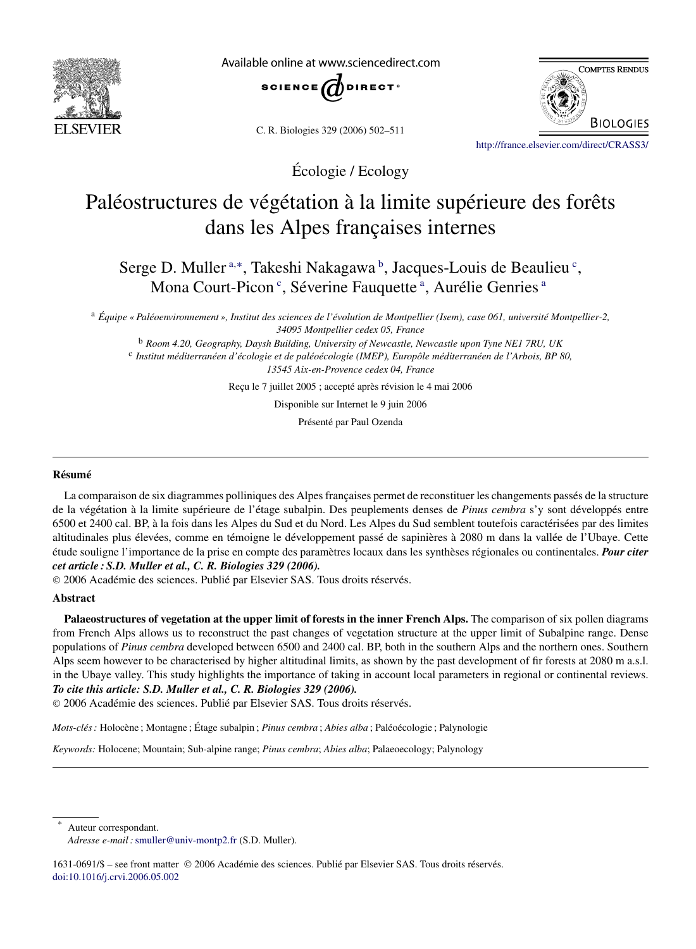

Available online at www.sciencedirect.com



C. R. Biologies 329 (2006) 502–511



<http://france.elsevier.com/direct/CRASS3/>

Écologie / Ecology

# Paléostructures de végétation à la limite supérieure des forêts dans les Alpes françaises internes

Serge D. Muller<sup>a,\*</sup>, Takeshi Nakagawa<sup>b</sup>, Jacques-Louis de Beaulieu<sup>c</sup>, Mona Court-Picon<sup>c</sup>, Séverine Fauquette<sup>a</sup>, Aurélie Genries<sup>a</sup>

<sup>a</sup> *Équipe « Paléoenvironnement », Institut des sciences de l'évolution de Montpellier (Isem), case 061, université Montpellier-2, 34095 Montpellier cedex 05, France*

<sup>b</sup> *Room 4.20, Geography, Daysh Building, University of Newcastle, Newcastle upon Tyne NE1 7RU, UK* <sup>c</sup> *Institut méditerranéen d'écologie et de paléoécologie (IMEP), Europôle méditerranéen de l'Arbois, BP 80, 13545 Aix-en-Provence cedex 04, France*

Reçu le 7 juillet 2005 ; accepté après révision le 4 mai 2006

Disponible sur Internet le 9 juin 2006

Présenté par Paul Ozenda

## **Résumé**

La comparaison de six diagrammes polliniques des Alpes françaises permet de reconstituer les changements passés de la structure de la végétation à la limite supérieure de l'étage subalpin. Des peuplements denses de *Pinus cembra* s'y sont développés entre 6500 et 2400 cal. BP, à la fois dans les Alpes du Sud et du Nord. Les Alpes du Sud semblent toutefois caractérisées par des limites altitudinales plus élevées, comme en témoigne le développement passé de sapinières à 2080 m dans la vallée de l'Ubaye. Cette étude souligne l'importance de la prise en compte des paramètres locaux dans les synthèses régionales ou continentales. *Pour citer cet article : S.D. Muller et al., C. R. Biologies 329 (2006).*

© 2006 Académie des sciences. Publié par Elsevier SAS. Tous droits réservés.

## **Abstract**

**Palaeostructures of vegetation at the upper limit of forests in the inner French Alps.** The comparison of six pollen diagrams from French Alps allows us to reconstruct the past changes of vegetation structure at the upper limit of Subalpine range. Dense populations of *Pinus cembra* developed between 6500 and 2400 cal. BP, both in the southern Alps and the northern ones. Southern Alps seem however to be characterised by higher altitudinal limits, as shown by the past development of fir forests at 2080 m a.s.l. in the Ubaye valley. This study highlights the importance of taking in account local parameters in regional or continental reviews. *To cite this article: S.D. Muller et al., C. R. Biologies 329 (2006).*

© 2006 Académie des sciences. Publié par Elsevier SAS. Tous droits réservés.

*Mots-clés :* Holocène ; Montagne ; Étage subalpin ; *Pinus cembra* ; *Abies alba* ; Paléoécologie ; Palynologie

*Keywords:* Holocene; Mountain; Sub-alpine range; *Pinus cembra*; *Abies alba*; Palaeoecology; Palynology

Auteur correspondant.

1631-0691/\$ – see front matter © 2006 Académie des sciences. Publié par Elsevier SAS. Tous droits réservés. [doi:10.1016/j.crvi.2006.05.002](http://dx.doi.org/10.1016/j.crvi.2006.05.002)

*Adresse e-mail :*[smuller@univ-montp2.fr](mailto:smuller@univ-montp2.fr) (S.D. Muller).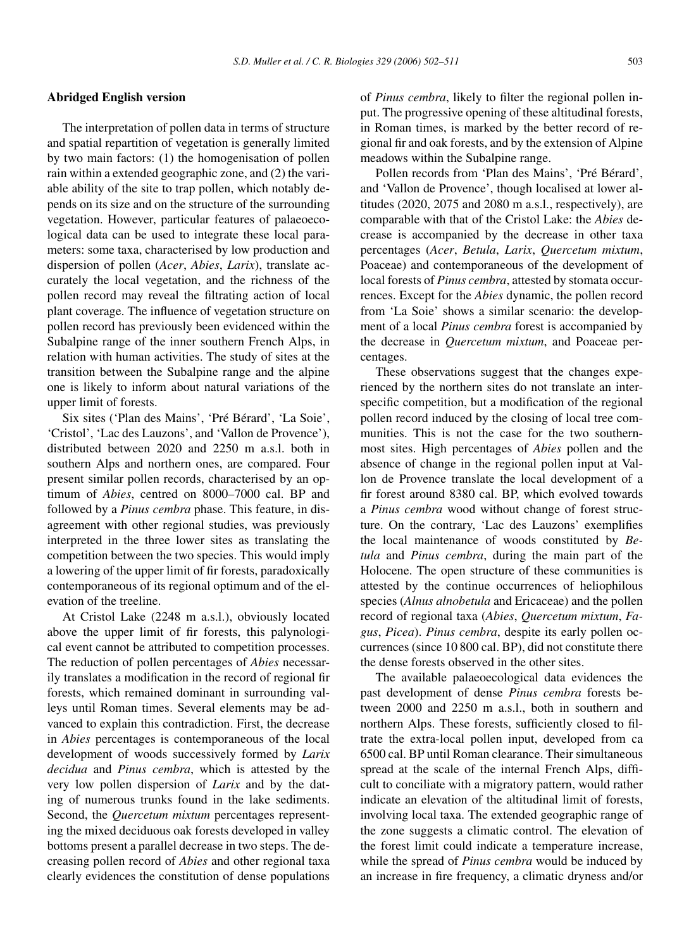#### **Abridged English version**

The interpretation of pollen data in terms of structure and spatial repartition of vegetation is generally limited by two main factors: (1) the homogenisation of pollen rain within a extended geographic zone, and (2) the variable ability of the site to trap pollen, which notably depends on its size and on the structure of the surrounding vegetation. However, particular features of palaeoecological data can be used to integrate these local parameters: some taxa, characterised by low production and dispersion of pollen (*Acer*, *Abies*, *Larix*), translate accurately the local vegetation, and the richness of the pollen record may reveal the filtrating action of local plant coverage. The influence of vegetation structure on pollen record has previously been evidenced within the Subalpine range of the inner southern French Alps, in relation with human activities. The study of sites at the transition between the Subalpine range and the alpine one is likely to inform about natural variations of the upper limit of forests.

Six sites ('Plan des Mains', 'Pré Bérard', 'La Soie', 'Cristol', 'Lac des Lauzons', and 'Vallon de Provence'), distributed between 2020 and 2250 m a.s.l. both in southern Alps and northern ones, are compared. Four present similar pollen records, characterised by an optimum of *Abies*, centred on 8000–7000 cal. BP and followed by a *Pinus cembra* phase. This feature, in disagreement with other regional studies, was previously interpreted in the three lower sites as translating the competition between the two species. This would imply a lowering of the upper limit of fir forests, paradoxically contemporaneous of its regional optimum and of the elevation of the treeline.

At Cristol Lake (2248 m a.s.l.), obviously located above the upper limit of fir forests, this palynological event cannot be attributed to competition processes. The reduction of pollen percentages of *Abies* necessarily translates a modification in the record of regional fir forests, which remained dominant in surrounding valleys until Roman times. Several elements may be advanced to explain this contradiction. First, the decrease in *Abies* percentages is contemporaneous of the local development of woods successively formed by *Larix decidua* and *Pinus cembra*, which is attested by the very low pollen dispersion of *Larix* and by the dating of numerous trunks found in the lake sediments. Second, the *Quercetum mixtum* percentages representing the mixed deciduous oak forests developed in valley bottoms present a parallel decrease in two steps. The decreasing pollen record of *Abies* and other regional taxa clearly evidences the constitution of dense populations of *Pinus cembra*, likely to filter the regional pollen input. The progressive opening of these altitudinal forests, in Roman times, is marked by the better record of regional fir and oak forests, and by the extension of Alpine meadows within the Subalpine range.

Pollen records from 'Plan des Mains', 'Pré Bérard', and 'Vallon de Provence', though localised at lower altitudes (2020, 2075 and 2080 m a.s.l., respectively), are comparable with that of the Cristol Lake: the *Abies* decrease is accompanied by the decrease in other taxa percentages (*Acer*, *Betula*, *Larix*, *Quercetum mixtum*, Poaceae) and contemporaneous of the development of local forests of *Pinus cembra*, attested by stomata occurrences. Except for the *Abies* dynamic, the pollen record from 'La Soie' shows a similar scenario: the development of a local *Pinus cembra* forest is accompanied by the decrease in *Quercetum mixtum*, and Poaceae percentages.

These observations suggest that the changes experienced by the northern sites do not translate an interspecific competition, but a modification of the regional pollen record induced by the closing of local tree communities. This is not the case for the two southernmost sites. High percentages of *Abies* pollen and the absence of change in the regional pollen input at Vallon de Provence translate the local development of a fir forest around 8380 cal. BP, which evolved towards a *Pinus cembra* wood without change of forest structure. On the contrary, 'Lac des Lauzons' exemplifies the local maintenance of woods constituted by *Betula* and *Pinus cembra*, during the main part of the Holocene. The open structure of these communities is attested by the continue occurrences of heliophilous species (*Alnus alnobetula* and Ericaceae) and the pollen record of regional taxa (*Abies*, *Quercetum mixtum*, *Fagus*, *Picea*). *Pinus cembra*, despite its early pollen occurrences (since 10 800 cal. BP), did not constitute there the dense forests observed in the other sites.

The available palaeoecological data evidences the past development of dense *Pinus cembra* forests between 2000 and 2250 m a.s.l., both in southern and northern Alps. These forests, sufficiently closed to filtrate the extra-local pollen input, developed from ca 6500 cal. BP until Roman clearance. Their simultaneous spread at the scale of the internal French Alps, difficult to conciliate with a migratory pattern, would rather indicate an elevation of the altitudinal limit of forests, involving local taxa. The extended geographic range of the zone suggests a climatic control. The elevation of the forest limit could indicate a temperature increase, while the spread of *Pinus cembra* would be induced by an increase in fire frequency, a climatic dryness and/or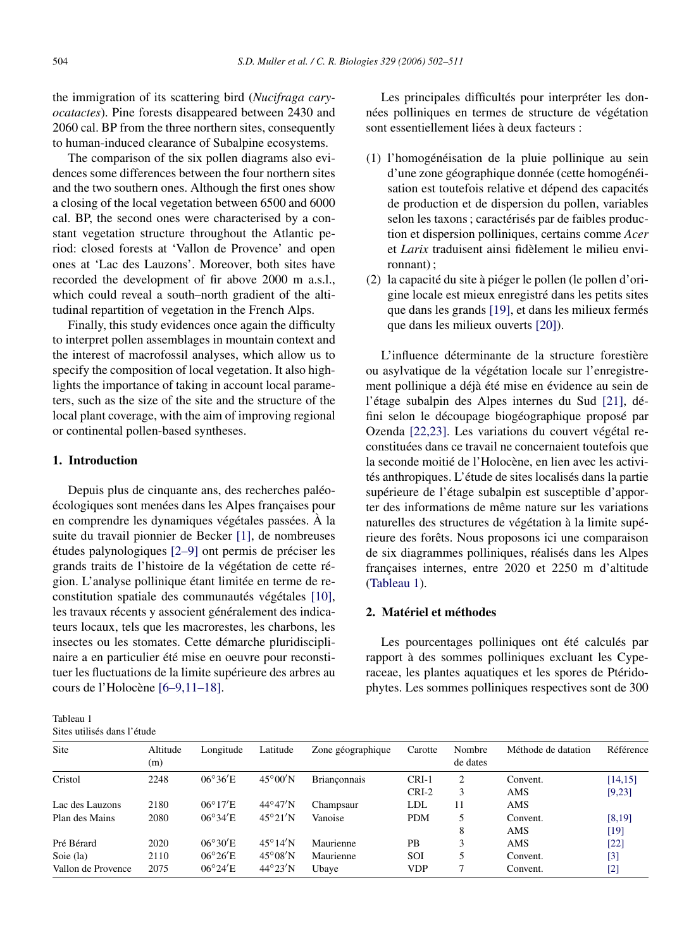<span id="page-2-0"></span>the immigration of its scattering bird (*Nucifraga caryocatactes*). Pine forests disappeared between 2430 and 2060 cal. BP from the three northern sites, consequently to human-induced clearance of Subalpine ecosystems.

The comparison of the six pollen diagrams also evidences some differences between the four northern sites and the two southern ones. Although the first ones show a closing of the local vegetation between 6500 and 6000 cal. BP, the second ones were characterised by a constant vegetation structure throughout the Atlantic period: closed forests at 'Vallon de Provence' and open ones at 'Lac des Lauzons'. Moreover, both sites have recorded the development of fir above 2000 m a.s.l., which could reveal a south–north gradient of the altitudinal repartition of vegetation in the French Alps.

Finally, this study evidences once again the difficulty to interpret pollen assemblages in mountain context and the interest of macrofossil analyses, which allow us to specify the composition of local vegetation. It also highlights the importance of taking in account local parameters, such as the size of the site and the structure of the local plant coverage, with the aim of improving regional or continental pollen-based syntheses.

# **1. Introduction**

Depuis plus de cinquante ans, des recherches paléoécologiques sont menées dans les Alpes françaises pour en comprendre les dynamiques végétales passées. À la suite du travail pionnier de Becker [\[1\],](#page-8-0) de nombreuses études palynologiques [\[2–9\]](#page-8-0) ont permis de préciser les grands traits de l'histoire de la végétation de cette région. L'analyse pollinique étant limitée en terme de reconstitution spatiale des communautés végétales [\[10\],](#page-8-0) les travaux récents y associent généralement des indicateurs locaux, tels que les macrorestes, les charbons, les insectes ou les stomates. Cette démarche pluridisciplinaire a en particulier été mise en oeuvre pour reconstituer les fluctuations de la limite supérieure des arbres au cours de l'Holocène [\[6–9,11–18\].](#page-8-0)

Les principales difficultés pour interpréter les données polliniques en termes de structure de végétation sont essentiellement liées à deux facteurs :

- (1) l'homogénéisation de la pluie pollinique au sein d'une zone géographique donnée (cette homogénéisation est toutefois relative et dépend des capacités de production et de dispersion du pollen, variables selon les taxons ; caractérisés par de faibles production et dispersion polliniques, certains comme *Acer* et *Larix* traduisent ainsi fidèlement le milieu environnant) ;
- (2) la capacité du site à piéger le pollen (le pollen d'origine locale est mieux enregistré dans les petits sites que dans les grands [\[19\],](#page-8-0) et dans les milieux fermés que dans les milieux ouverts [\[20\]\)](#page-8-0).

L'influence déterminante de la structure forestière ou asylvatique de la végétation locale sur l'enregistrement pollinique a déjà été mise en évidence au sein de l'étage subalpin des Alpes internes du Sud [\[21\],](#page-8-0) défini selon le découpage biogéographique proposé par Ozenda [\[22,23\].](#page-9-0) Les variations du couvert végétal reconstituées dans ce travail ne concernaient toutefois que la seconde moitié de l'Holocène, en lien avec les activités anthropiques. L'étude de sites localisés dans la partie supérieure de l'étage subalpin est susceptible d'apporter des informations de même nature sur les variations naturelles des structures de végétation à la limite supérieure des forêts. Nous proposons ici une comparaison de six diagrammes polliniques, réalisés dans les Alpes françaises internes, entre 2020 et 2250 m d'altitude (Tableau 1).

## **2. Matériel et méthodes**

Les pourcentages polliniques ont été calculés par rapport à des sommes polliniques excluant les Cyperaceae, les plantes aquatiques et les spores de Ptéridophytes. Les sommes polliniques respectives sont de 300

| Tableau 1                   |  |
|-----------------------------|--|
| Sites utilisés dans l'étude |  |

| Site               | Altitude<br>(m) | Longitude        | Latitude                 | Zone géographique   | Carotte    | Nombre<br>de dates | Méthode de datation | Référence |
|--------------------|-----------------|------------------|--------------------------|---------------------|------------|--------------------|---------------------|-----------|
| Cristol            | 2248            | $06^{\circ}36'E$ | $45^{\circ}00^{\prime}N$ | <b>Brianconnais</b> | $CRI-1$    | 2                  | Convent.            | [14, 15]  |
|                    |                 |                  |                          |                     | $CRI-2$    | 3                  | AMS                 | [9,23]    |
| Lac des Lauzons    | 2180            | $06^{\circ}17'E$ | $44^{\circ}47'$ N        | Champsaur           | LDL        | 11                 | AMS                 |           |
| Plan des Mains     | 2080            | $06^{\circ}34'E$ | $45^{\circ}21^{\prime}N$ | Vanoise             | <b>PDM</b> | 5                  | Convent.            | [8, 19]   |
|                    |                 |                  |                          |                     |            | 8                  | AMS                 | [19]      |
| Pré Bérard         | 2020            | $06^{\circ}30'E$ | $45^{\circ}14^{\prime}N$ | Maurienne           | <b>PB</b>  | 3                  | AMS                 | $[22]$    |
| Soie (la)          | 2110            | $06^{\circ}26'E$ | $45^{\circ}08'$ N        | Maurienne           | SOI        |                    | Convent.            | [3]       |
| Vallon de Provence | 2075            | $06^{\circ}24'E$ | $44^{\circ}23'$ N        | Ubaye               | <b>VDP</b> | 7                  | Convent.            | [2]       |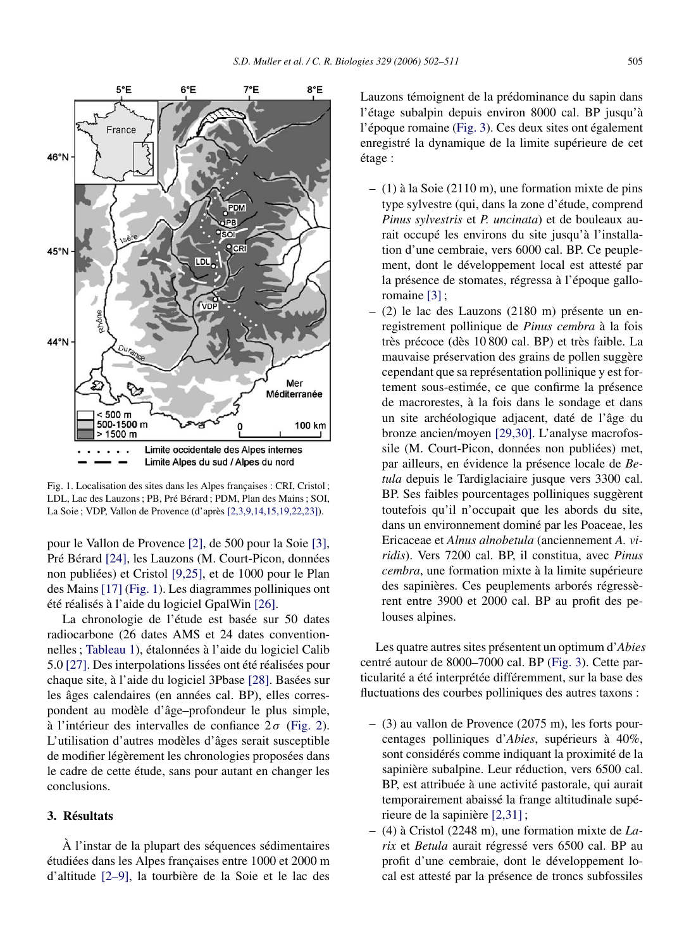

Fig. 1. Localisation des sites dans les Alpes françaises : CRI, Cristol ; LDL, Lac des Lauzons ; PB, Pré Bérard ; PDM, Plan des Mains ; SOI, La Soie ; VDP, Vallon de Provence (d'après [\[2,3,9,14,15,19,22,23\]\)](#page-8-0).

pour le Vallon de Provence [\[2\],](#page-8-0) de 500 pour la Soie [\[3\],](#page-8-0) Pré Bérard [\[24\],](#page-9-0) les Lauzons (M. Court-Picon, données non publiées) et Cristol [\[9,25\],](#page-8-0) et de 1000 pour le Plan des Mains [\[17\]](#page-8-0) (Fig. 1). Les diagrammes polliniques ont été réalisés à l'aide du logiciel GpalWin [\[26\].](#page-9-0)

La chronologie de l'étude est basée sur 50 dates radiocarbone (26 dates AMS et 24 dates conventionnelles ; [Tableau 1\)](#page-2-0), étalonnées à l'aide du logiciel Calib 5.0 [\[27\].](#page-9-0) Des interpolations lissées ont été réalisées pour chaque site, à l'aide du logiciel 3Pbase [\[28\].](#page-9-0) Basées sur les âges calendaires (en années cal. BP), elles correspondent au modèle d'âge–profondeur le plus simple, à l'intérieur des intervalles de confiance 2 *σ* [\(Fig. 2\)](#page-4-0). L'utilisation d'autres modèles d'âges serait susceptible de modifier légèrement les chronologies proposées dans le cadre de cette étude, sans pour autant en changer les conclusions.

## **3. Résultats**

À l'instar de la plupart des séquences sédimentaires étudiées dans les Alpes françaises entre 1000 et 2000 m d'altitude [\[2–9\],](#page-8-0) la tourbière de la Soie et le lac des Lauzons témoignent de la prédominance du sapin dans l'étage subalpin depuis environ 8000 cal. BP jusqu'à l'époque romaine [\(Fig. 3\)](#page-5-0). Ces deux sites ont également enregistré la dynamique de la limite supérieure de cet étage :

- (1) à la Soie (2110 m), une formation mixte de pins type sylvestre (qui, dans la zone d'étude, comprend *Pinus sylvestris* et *P. uncinata*) et de bouleaux aurait occupé les environs du site jusqu'à l'installation d'une cembraie, vers 6000 cal. BP. Ce peuplement, dont le développement local est attesté par la présence de stomates, régressa à l'époque galloromaine [\[3\]](#page-8-0);
- (2) le lac des Lauzons (2180 m) présente un enregistrement pollinique de *Pinus cembra* à la fois très précoce (dès 10 800 cal. BP) et très faible. La mauvaise préservation des grains de pollen suggère cependant que sa représentation pollinique y est fortement sous-estimée, ce que confirme la présence de macrorestes, à la fois dans le sondage et dans un site archéologique adjacent, daté de l'âge du bronze ancien/moyen [\[29,30\].](#page-9-0) L'analyse macrofossile (M. Court-Picon, données non publiées) met, par ailleurs, en évidence la présence locale de *Betula* depuis le Tardiglaciaire jusque vers 3300 cal. BP. Ses faibles pourcentages polliniques suggèrent toutefois qu'il n'occupait que les abords du site, dans un environnement dominé par les Poaceae, les Ericaceae et *Alnus alnobetula* (anciennement *A. viridis*). Vers 7200 cal. BP, il constitua, avec *Pinus cembra*, une formation mixte à la limite supérieure des sapinières. Ces peuplements arborés régressèrent entre 3900 et 2000 cal. BP au profit des pelouses alpines.

Les quatre autres sites présentent un optimum d'*Abies* centré autour de 8000–7000 cal. BP [\(Fig. 3\)](#page-5-0). Cette particularité a été interprétée différemment, sur la base des fluctuations des courbes polliniques des autres taxons :

- (3) au vallon de Provence (2075 m), les forts pourcentages polliniques d'*Abies*, supérieurs à 40%, sont considérés comme indiquant la proximité de la sapinière subalpine. Leur réduction, vers 6500 cal. BP, est attribuée à une activité pastorale, qui aurait temporairement abaissé la frange altitudinale supérieure de la sapinière [\[2,31\]](#page-8-0) ;
- (4) à Cristol (2248 m), une formation mixte de *Larix* et *Betula* aurait régressé vers 6500 cal. BP au profit d'une cembraie, dont le développement local est attesté par la présence de troncs subfossiles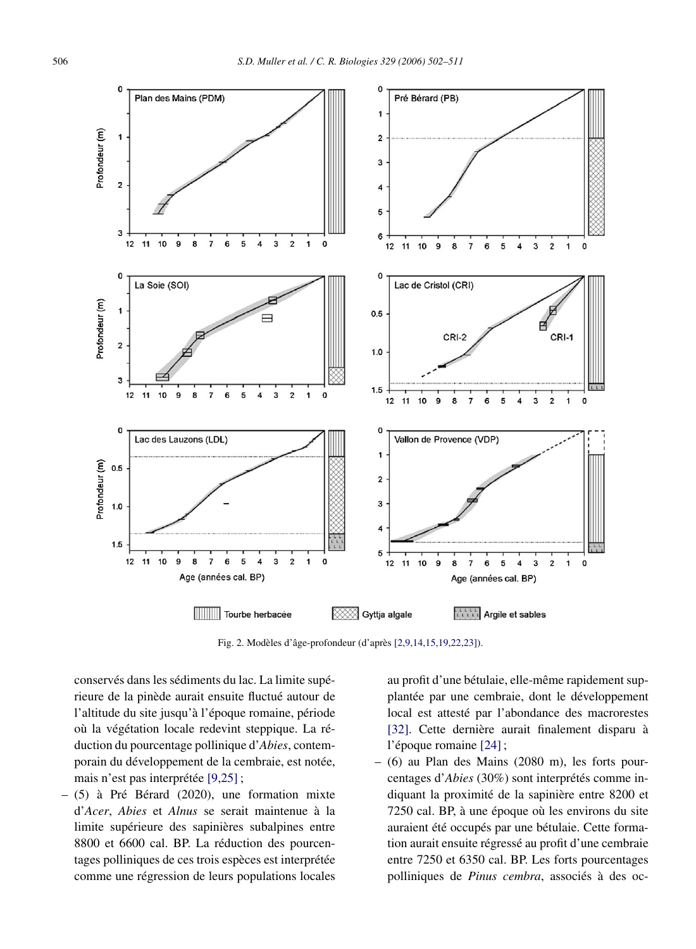<span id="page-4-0"></span>![](_page_4_Figure_2.jpeg)

Fig. 2. Modèles d'âge-profondeur (d'après [\[2,9,14,15,19,22,23\]\)](#page-8-0).

conservés dans les sédiments du lac. La limite supérieure de la pinède aurait ensuite fluctué autour de l'altitude du site jusqu'à l'époque romaine, période où la végétation locale redevint steppique. La réduction du pourcentage pollinique d'*Abies*, contemporain du développement de la cembraie, est notée, mais n'est pas interprétée [\[9,25\]](#page-8-0) ;

– (5) à Pré Bérard (2020), une formation mixte d'*Acer*, *Abies* et *Alnus* se serait maintenue à la limite supérieure des sapinières subalpines entre 8800 et 6600 cal. BP. La réduction des pourcentages polliniques de ces trois espèces est interprétée comme une régression de leurs populations locales

au profit d'une bétulaie, elle-même rapidement supplantée par une cembraie, dont le développement local est attesté par l'abondance des macrorestes [\[32\].](#page-9-0) Cette dernière aurait finalement disparu à l'époque romaine [\[24\]](#page-9-0);

– (6) au Plan des Mains (2080 m), les forts pourcentages d'*Abies* (30%) sont interprétés comme indiquant la proximité de la sapinière entre 8200 et 7250 cal. BP, à une époque où les environs du site auraient été occupés par une bétulaie. Cette formation aurait ensuite régressé au profit d'une cembraie entre 7250 et 6350 cal. BP. Les forts pourcentages polliniques de *Pinus cembra*, associés à des oc-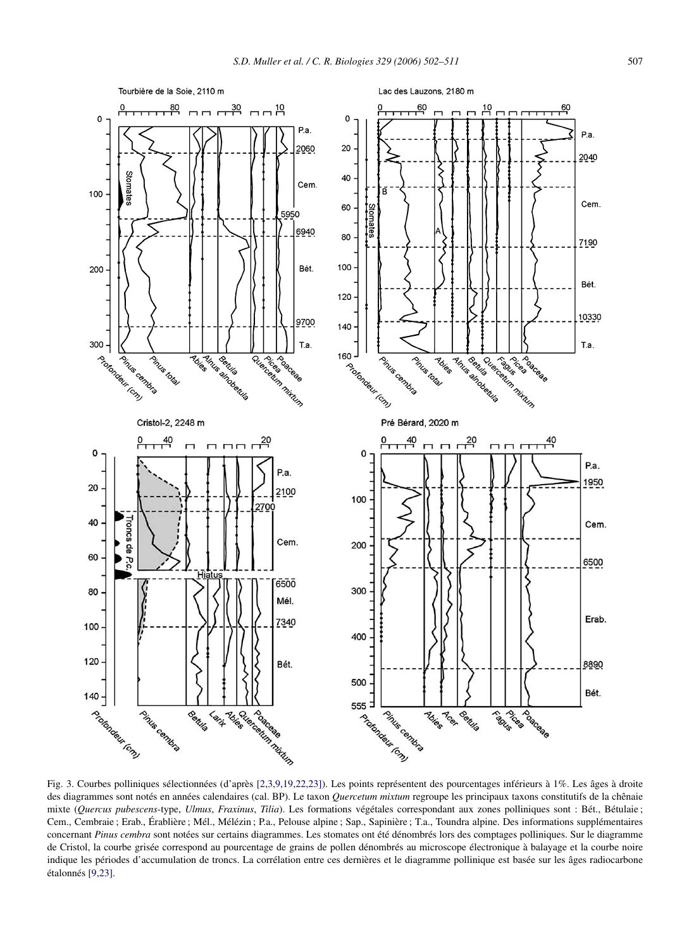<span id="page-5-0"></span>![](_page_5_Figure_1.jpeg)

Fig. 3. Courbes polliniques sélectionnées (d'après [\[2,3,9,19,22,23\]\)](#page-8-0). Les points représentent des pourcentages inférieurs à 1%. Les âges à droite des diagrammes sont notés en années calendaires (cal. BP). Le taxon *Quercetum mixtum* regroupe les principaux taxons constitutifs de la chênaie mixte (*Quercus pubescens*-type, *Ulmus*, *Fraxinus*, *Tilia*). Les formations végétales correspondant aux zones polliniques sont : Bét., Bétulaie ; Cem., Cembraie ; Erab., Érablière ; Mél., Mélézin ; P.a., Pelouse alpine ; Sap., Sapinière ; T.a., Toundra alpine. Des informations supplémentaires concernant *Pinus cembra* sont notées sur certains diagrammes. Les stomates ont été dénombrés lors des comptages polliniques. Sur le diagramme de Cristol, la courbe grisée correspond au pourcentage de grains de pollen dénombrés au microscope électronique à balayage et la courbe noire indique les périodes d'accumulation de troncs. La corrélation entre ces dernières et le diagramme pollinique est basée sur les âges radiocarbone étalonnés [\[9,23\].](#page-8-0)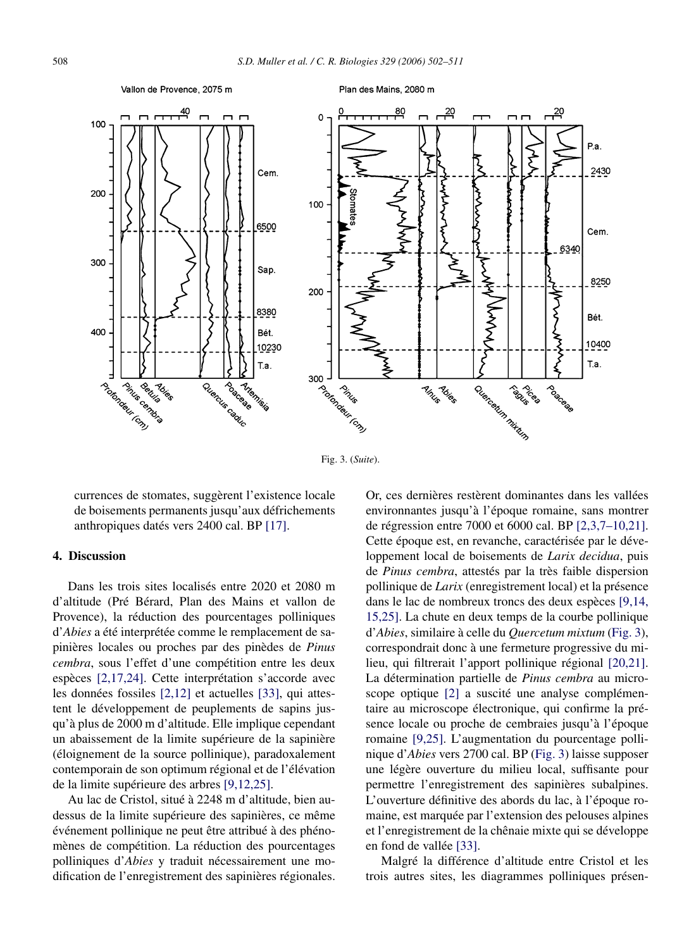#### Vallon de Provence, 2075 m

Plan des Mains, 2080 m

![](_page_6_Figure_3.jpeg)

Fig. 3. (*Suite*).

currences de stomates, suggèrent l'existence locale de boisements permanents jusqu'aux défrichements anthropiques datés vers 2400 cal. BP [\[17\].](#page-8-0)

## **4. Discussion**

Dans les trois sites localisés entre 2020 et 2080 m d'altitude (Pré Bérard, Plan des Mains et vallon de Provence), la réduction des pourcentages polliniques d'*Abies* a été interprétée comme le remplacement de sapinières locales ou proches par des pinèdes de *Pinus cembra*, sous l'effet d'une compétition entre les deux espèces [\[2,17,24\].](#page-8-0) Cette interprétation s'accorde avec les données fossiles [\[2,12\]](#page-8-0) et actuelles [\[33\],](#page-9-0) qui attestent le développement de peuplements de sapins jusqu'à plus de 2000 m d'altitude. Elle implique cependant un abaissement de la limite supérieure de la sapinière (éloignement de la source pollinique), paradoxalement contemporain de son optimum régional et de l'élévation de la limite supérieure des arbres [\[9,12,25\].](#page-8-0)

Au lac de Cristol, situé à 2248 m d'altitude, bien audessus de la limite supérieure des sapinières, ce même événement pollinique ne peut être attribué à des phénomènes de compétition. La réduction des pourcentages polliniques d'*Abies* y traduit nécessairement une modification de l'enregistrement des sapinières régionales.

Or, ces dernières restèrent dominantes dans les vallées environnantes jusqu'à l'époque romaine, sans montrer de régression entre 7000 et 6000 cal. BP [\[2,3,7–10,21\].](#page-8-0) Cette époque est, en revanche, caractérisée par le développement local de boisements de *Larix decidua*, puis de *Pinus cembra*, attestés par la très faible dispersion pollinique de *Larix* (enregistrement local) et la présence dans le lac de nombreux troncs des deux espèces [\[9,14,](#page-8-0) [15,25\].](#page-8-0) La chute en deux temps de la courbe pollinique d'*Abies*, similaire à celle du *Quercetum mixtum* [\(Fig. 3\)](#page-5-0), correspondrait donc à une fermeture progressive du milieu, qui filtrerait l'apport pollinique régional [\[20,21\].](#page-8-0) La détermination partielle de *Pinus cembra* au microscope optique [\[2\]](#page-8-0) a suscité une analyse complémentaire au microscope électronique, qui confirme la présence locale ou proche de cembraies jusqu'à l'époque romaine [\[9,25\].](#page-8-0) L'augmentation du pourcentage pollinique d'*Abies* vers 2700 cal. BP [\(Fig. 3\)](#page-5-0) laisse supposer une légère ouverture du milieu local, suffisante pour permettre l'enregistrement des sapinières subalpines. L'ouverture définitive des abords du lac, à l'époque romaine, est marquée par l'extension des pelouses alpines et l'enregistrement de la chênaie mixte qui se développe en fond de vallée [\[33\].](#page-9-0)

Malgré la différence d'altitude entre Cristol et les trois autres sites, les diagrammes polliniques présen-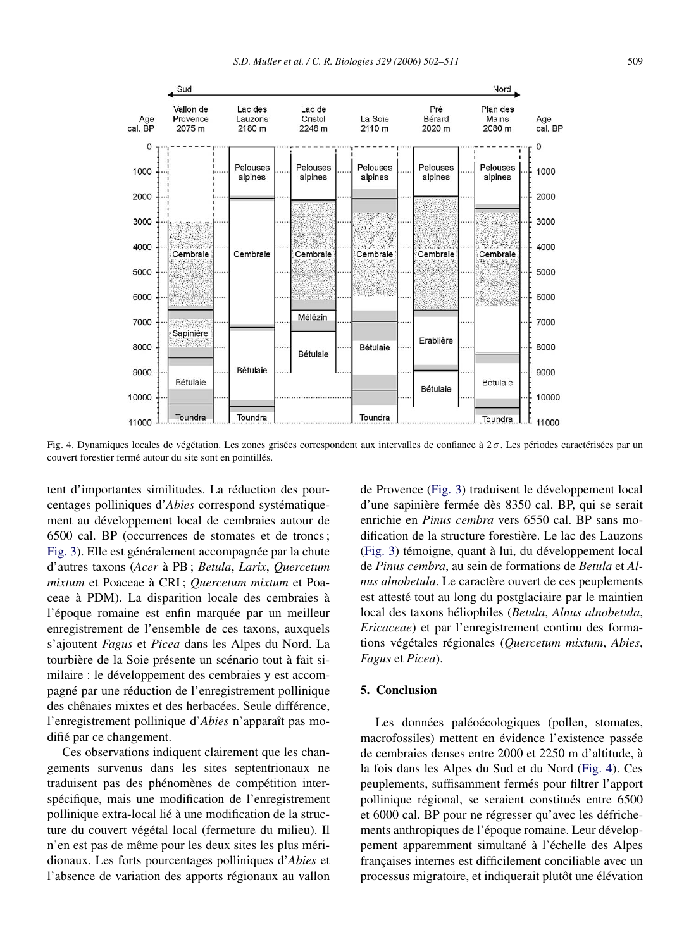![](_page_7_Figure_1.jpeg)

Fig. 4. Dynamiques locales de végétation. Les zones grisées correspondent aux intervalles de confiance à 2 *σ* . Les périodes caractérisées par un couvert forestier fermé autour du site sont en pointillés.

tent d'importantes similitudes. La réduction des pourcentages polliniques d'*Abies* correspond systématiquement au développement local de cembraies autour de 6500 cal. BP (occurrences de stomates et de troncs ; [Fig. 3\)](#page-5-0). Elle est généralement accompagnée par la chute d'autres taxons (*Acer* à PB ; *Betula*, *Larix*, *Quercetum mixtum* et Poaceae à CRI ; *Quercetum mixtum* et Poaceae à PDM). La disparition locale des cembraies à l'époque romaine est enfin marquée par un meilleur enregistrement de l'ensemble de ces taxons, auxquels s'ajoutent *Fagus* et *Picea* dans les Alpes du Nord. La tourbière de la Soie présente un scénario tout à fait similaire : le développement des cembraies y est accompagné par une réduction de l'enregistrement pollinique des chênaies mixtes et des herbacées. Seule différence, l'enregistrement pollinique d'*Abies* n'apparaît pas modifié par ce changement.

Ces observations indiquent clairement que les changements survenus dans les sites septentrionaux ne traduisent pas des phénomènes de compétition interspécifique, mais une modification de l'enregistrement pollinique extra-local lié à une modification de la structure du couvert végétal local (fermeture du milieu). Il n'en est pas de même pour les deux sites les plus méridionaux. Les forts pourcentages polliniques d'*Abies* et l'absence de variation des apports régionaux au vallon de Provence [\(Fig. 3\)](#page-5-0) traduisent le développement local d'une sapinière fermée dès 8350 cal. BP, qui se serait enrichie en *Pinus cembra* vers 6550 cal. BP sans modification de la structure forestière. Le lac des Lauzons [\(Fig. 3\)](#page-5-0) témoigne, quant à lui, du développement local de *Pinus cembra*, au sein de formations de *Betula* et *Alnus alnobetula*. Le caractère ouvert de ces peuplements est attesté tout au long du postglaciaire par le maintien local des taxons héliophiles (*Betula*, *Alnus alnobetula*, *Ericaceae*) et par l'enregistrement continu des formations végétales régionales (*Quercetum mixtum*, *Abies*, *Fagus* et *Picea*).

## **5. Conclusion**

Les données paléoécologiques (pollen, stomates, macrofossiles) mettent en évidence l'existence passée de cembraies denses entre 2000 et 2250 m d'altitude, à la fois dans les Alpes du Sud et du Nord (Fig. 4). Ces peuplements, suffisamment fermés pour filtrer l'apport pollinique régional, se seraient constitués entre 6500 et 6000 cal. BP pour ne régresser qu'avec les défrichements anthropiques de l'époque romaine. Leur développement apparemment simultané à l'échelle des Alpes françaises internes est difficilement conciliable avec un processus migratoire, et indiquerait plutôt une élévation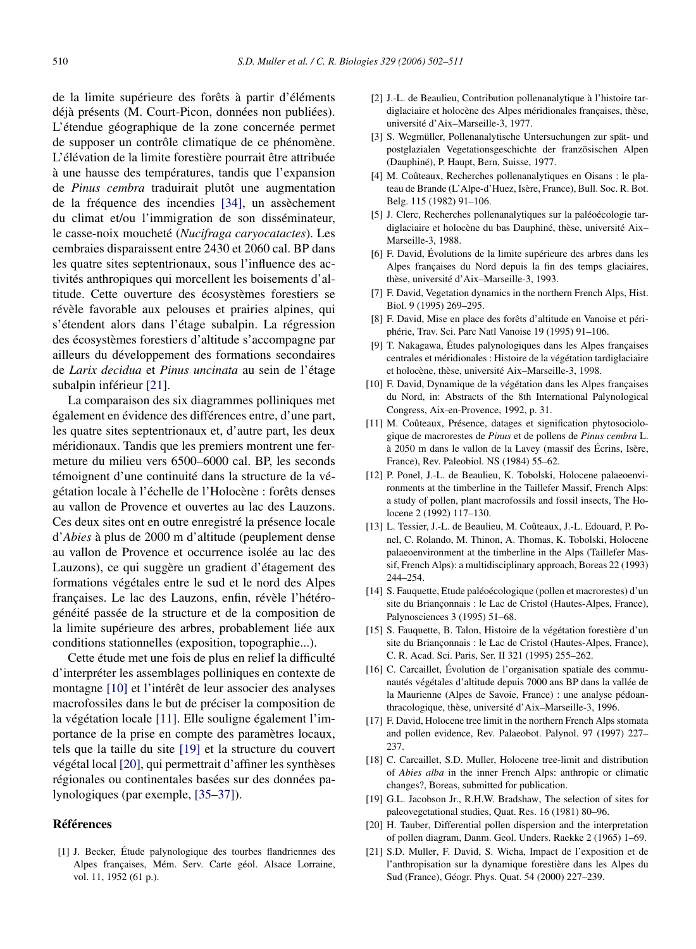<span id="page-8-0"></span>de la limite supérieure des forêts à partir d'éléments déjà présents (M. Court-Picon, données non publiées). L'étendue géographique de la zone concernée permet de supposer un contrôle climatique de ce phénomène. L'élévation de la limite forestière pourrait être attribuée à une hausse des températures, tandis que l'expansion de *Pinus cembra* traduirait plutôt une augmentation de la fréquence des incendies [\[34\],](#page-9-0) un assèchement du climat et/ou l'immigration de son disséminateur, le casse-noix moucheté (*Nucifraga caryocatactes*). Les cembraies disparaissent entre 2430 et 2060 cal. BP dans les quatre sites septentrionaux, sous l'influence des activités anthropiques qui morcellent les boisements d'altitude. Cette ouverture des écosystèmes forestiers se révèle favorable aux pelouses et prairies alpines, qui s'étendent alors dans l'étage subalpin. La régression des écosystèmes forestiers d'altitude s'accompagne par ailleurs du développement des formations secondaires de *Larix decidua* et *Pinus uncinata* au sein de l'étage subalpin inférieur [21].

La comparaison des six diagrammes polliniques met également en évidence des différences entre, d'une part, les quatre sites septentrionaux et, d'autre part, les deux méridionaux. Tandis que les premiers montrent une fermeture du milieu vers 6500–6000 cal. BP, les seconds témoignent d'une continuité dans la structure de la végétation locale à l'échelle de l'Holocène : forêts denses au vallon de Provence et ouvertes au lac des Lauzons. Ces deux sites ont en outre enregistré la présence locale d'*Abies* à plus de 2000 m d'altitude (peuplement dense au vallon de Provence et occurrence isolée au lac des Lauzons), ce qui suggère un gradient d'étagement des formations végétales entre le sud et le nord des Alpes françaises. Le lac des Lauzons, enfin, révèle l'hétérogénéité passée de la structure et de la composition de la limite supérieure des arbres, probablement liée aux conditions stationnelles (exposition, topographie...).

Cette étude met une fois de plus en relief la difficulté d'interpréter les assemblages polliniques en contexte de montagne [10] et l'intérêt de leur associer des analyses macrofossiles dans le but de préciser la composition de la végétation locale [11]. Elle souligne également l'importance de la prise en compte des paramètres locaux, tels que la taille du site [19] et la structure du couvert végétal local [20], qui permettrait d'affiner les synthèses régionales ou continentales basées sur des données palynologiques (par exemple, [\[35–37\]\)](#page-9-0).

## **Références**

[1] J. Becker, Étude palynologique des tourbes flandriennes des Alpes françaises, Mém. Serv. Carte géol. Alsace Lorraine, vol. 11, 1952 (61 p.).

- [2] J.-L. de Beaulieu, Contribution pollenanalytique à l'histoire tardiglaciaire et holocène des Alpes méridionales françaises, thèse, université d'Aix–Marseille-3, 1977.
- [3] S. Wegmüller, Pollenanalytische Untersuchungen zur spät- und postglazialen Vegetationsgeschichte der französischen Alpen (Dauphiné), P. Haupt, Bern, Suisse, 1977.
- [4] M. Coûteaux, Recherches pollenanalytiques en Oisans : le plateau de Brande (L'Alpe-d'Huez, Isère, France), Bull. Soc. R. Bot. Belg. 115 (1982) 91–106.
- [5] J. Clerc, Recherches pollenanalytiques sur la paléoécologie tardiglaciaire et holocène du bas Dauphiné, thèse, université Aix– Marseille-3, 1988.
- [6] F. David, Évolutions de la limite supérieure des arbres dans les Alpes françaises du Nord depuis la fin des temps glaciaires, thèse, université d'Aix–Marseille-3, 1993.
- [7] F. David, Vegetation dynamics in the northern French Alps, Hist. Biol. 9 (1995) 269–295.
- [8] F. David, Mise en place des forêts d'altitude en Vanoise et périphérie, Trav. Sci. Parc Natl Vanoise 19 (1995) 91–106.
- [9] T. Nakagawa, Études palynologiques dans les Alpes françaises centrales et méridionales : Histoire de la végétation tardiglaciaire et holocène, thèse, université Aix–Marseille-3, 1998.
- [10] F. David, Dynamique de la végétation dans les Alpes françaises du Nord, in: Abstracts of the 8th International Palynological Congress, Aix-en-Provence, 1992, p. 31.
- [11] M. Coûteaux, Présence, datages et signification phytosociologique de macrorestes de *Pinus* et de pollens de *Pinus cembra* L. à 2050 m dans le vallon de la Lavey (massif des Écrins, Isère, France), Rev. Paleobiol. NS (1984) 55–62.
- [12] P. Ponel, J.-L. de Beaulieu, K. Tobolski, Holocene palaeoenvironments at the timberline in the Taillefer Massif, French Alps: a study of pollen, plant macrofossils and fossil insects, The Holocene 2 (1992) 117–130.
- [13] L. Tessier, J.-L. de Beaulieu, M. Coûteaux, J.-L. Edouard, P. Ponel, C. Rolando, M. Thinon, A. Thomas, K. Tobolski, Holocene palaeoenvironment at the timberline in the Alps (Taillefer Massif, French Alps): a multidisciplinary approach, Boreas 22 (1993) 244–254.
- [14] S. Fauquette, Etude paléoécologique (pollen et macrorestes) d'un site du Briançonnais : le Lac de Cristol (Hautes-Alpes, France), Palynosciences 3 (1995) 51–68.
- [15] S. Fauquette, B. Talon, Histoire de la végétation forestière d'un site du Briançonnais : le Lac de Cristol (Hautes-Alpes, France), C. R. Acad. Sci. Paris, Ser. II 321 (1995) 255–262.
- [16] C. Carcaillet, Évolution de l'organisation spatiale des communautés végétales d'altitude depuis 7000 ans BP dans la vallée de la Maurienne (Alpes de Savoie, France) : une analyse pédoanthracologique, thèse, université d'Aix–Marseille-3, 1996.
- [17] F. David, Holocene tree limit in the northern French Alps stomata and pollen evidence, Rev. Palaeobot. Palynol. 97 (1997) 227– 237.
- [18] C. Carcaillet, S.D. Muller, Holocene tree-limit and distribution of *Abies alba* in the inner French Alps: anthropic or climatic changes?, Boreas, submitted for publication.
- [19] G.L. Jacobson Jr., R.H.W. Bradshaw, The selection of sites for paleovegetational studies, Quat. Res. 16 (1981) 80–96.
- [20] H. Tauber, Differential pollen dispersion and the interpretation of pollen diagram, Danm. Geol. Unders. Raekke 2 (1965) 1–69.
- [21] S.D. Muller, F. David, S. Wicha, Impact de l'exposition et de l'anthropisation sur la dynamique forestière dans les Alpes du Sud (France), Géogr. Phys. Quat. 54 (2000) 227–239.